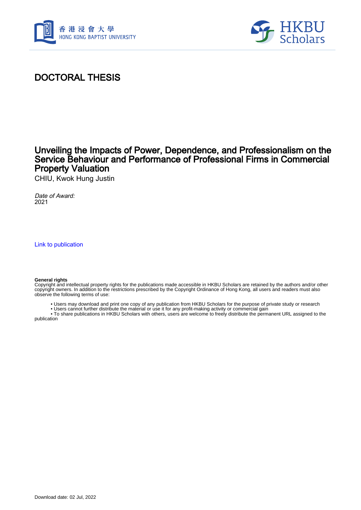



### DOCTORAL THESIS

### Unveiling the Impacts of Power, Dependence, and Professionalism on the Service Behaviour and Performance of Professional Firms in Commercial Property Valuation

CHIU, Kwok Hung Justin

Date of Award: 2021

[Link to publication](https://scholars.hkbu.edu.hk/en/studentTheses/61ff6267-0911-4df0-8540-dc5a441d7c83)

#### **General rights**

Copyright and intellectual property rights for the publications made accessible in HKBU Scholars are retained by the authors and/or other copyright owners. In addition to the restrictions prescribed by the Copyright Ordinance of Hong Kong, all users and readers must also observe the following terms of use:

• Users may download and print one copy of any publication from HKBU Scholars for the purpose of private study or research

 • Users cannot further distribute the material or use it for any profit-making activity or commercial gain • To share publications in HKBU Scholars with others, users are welcome to freely distribute the permanent URL assigned to the

publication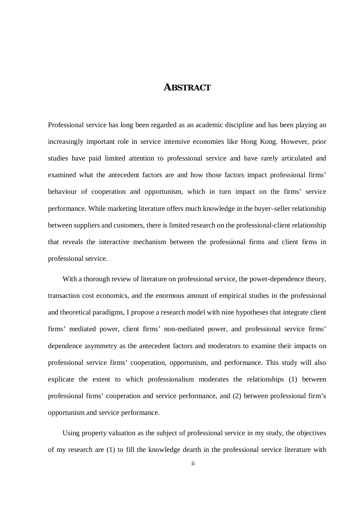#### **ABSTRACT**

Professional service has long been regarded as an academic discipline and has been playing an increasingly important role in service intensive economies like Hong Kong. However, prior studies have paid limited attention to professional service and have rarely articulated and examined what the antecedent factors are and how those factors impact professional firms' behaviour of cooperation and opportunism, which in turn impact on the firms' service performance. While marketing literature offers much knowledge in the buyer–seller relationship between suppliers and customers, there is limited research on the professional-client relationship that reveals the interactive mechanism between the professional firms and client firms in professional service.

With a thorough review of literature on professional service, the power-dependence theory, transaction cost economics, and the enormous amount of empirical studies in the professional and theoretical paradigms, I propose a research model with nine hypotheses that integrate client firms' mediated power, client firms' non-mediated power, and professional service firms' dependence asymmetry as the antecedent factors and moderators to examine their impacts on professional service firms' cooperation, opportunism, and performance. This study will also explicate the extent to which professionalism moderates the relationships (1) between professional firms' cooperation and service performance, and (2) between professional firm's opportunism and service performance.

Using property valuation as the subject of professional service in my study, the objectives of my research are (1) to fill the knowledge dearth in the professional service literature with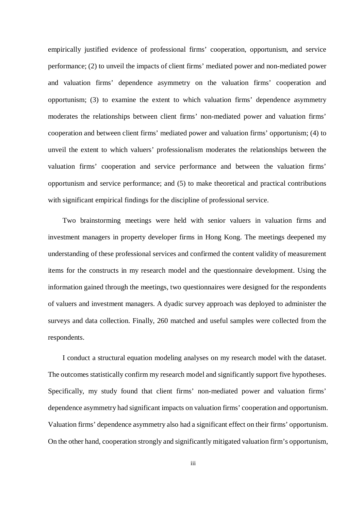empirically justified evidence of professional firms' cooperation, opportunism, and service performance; (2) to unveil the impacts of client firms' mediated power and non-mediated power and valuation firms' dependence asymmetry on the valuation firms' cooperation and opportunism; (3) to examine the extent to which valuation firms' dependence asymmetry moderates the relationships between client firms' non-mediated power and valuation firms' cooperation and between client firms' mediated power and valuation firms' opportunism; (4) to unveil the extent to which valuers' professionalism moderates the relationships between the valuation firms' cooperation and service performance and between the valuation firms' opportunism and service performance; and (5) to make theoretical and practical contributions with significant empirical findings for the discipline of professional service.

Two brainstorming meetings were held with senior valuers in valuation firms and investment managers in property developer firms in Hong Kong. The meetings deepened my understanding of these professional services and confirmed the content validity of measurement items for the constructs in my research model and the questionnaire development. Using the information gained through the meetings, two questionnaires were designed for the respondents of valuers and investment managers. A dyadic survey approach was deployed to administer the surveys and data collection. Finally, 260 matched and useful samples were collected from the respondents.

I conduct a structural equation modeling analyses on my research model with the dataset. The outcomes statistically confirm my research model and significantly support five hypotheses. Specifically, my study found that client firms' non-mediated power and valuation firms' dependence asymmetry had significant impacts on valuation firms' cooperation and opportunism. Valuation firms' dependence asymmetry also had a significant effect on their firms' opportunism. On the other hand, cooperation strongly and significantly mitigated valuation firm's opportunism,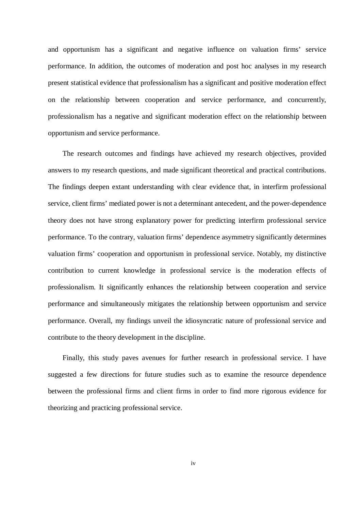and opportunism has a significant and negative influence on valuation firms' service performance. In addition, the outcomes of moderation and post hoc analyses in my research present statistical evidence that professionalism has a significant and positive moderation effect on the relationship between cooperation and service performance, and concurrently, professionalism has a negative and significant moderation effect on the relationship between opportunism and service performance.

The research outcomes and findings have achieved my research objectives, provided answers to my research questions, and made significant theoretical and practical contributions. The findings deepen extant understanding with clear evidence that, in interfirm professional service, client firms' mediated power is not a determinant antecedent, and the power-dependence theory does not have strong explanatory power for predicting interfirm professional service performance. To the contrary, valuation firms' dependence asymmetry significantly determines valuation firms' cooperation and opportunism in professional service. Notably, my distinctive contribution to current knowledge in professional service is the moderation effects of professionalism. It significantly enhances the relationship between cooperation and service performance and simultaneously mitigates the relationship between opportunism and service performance. Overall, my findings unveil the idiosyncratic nature of professional service and contribute to the theory development in the discipline.

Finally, this study paves avenues for further research in professional service. I have suggested a few directions for future studies such as to examine the resource dependence between the professional firms and client firms in order to find more rigorous evidence for theorizing and practicing professional service.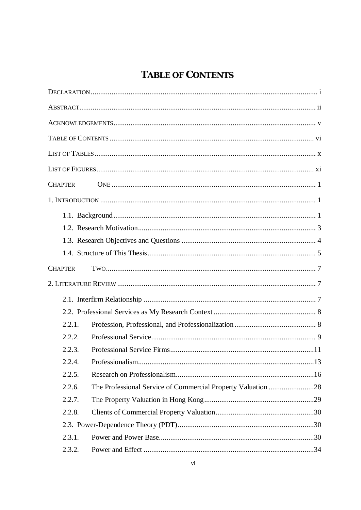# TABLE OF CONTENTS

| <b>CHAPTER</b> |                                                              |
|----------------|--------------------------------------------------------------|
|                |                                                              |
|                |                                                              |
|                |                                                              |
|                |                                                              |
|                |                                                              |
| <b>CHAPTER</b> |                                                              |
|                |                                                              |
|                |                                                              |
|                |                                                              |
| 2.2.1.         |                                                              |
| 2.2.2.         |                                                              |
| 2.2.3.         |                                                              |
| 2.2.4.         |                                                              |
| 2.2.5.         |                                                              |
| 2.2.6.         | The Professional Service of Commercial Property Valuation 28 |
| 2.2.7.         |                                                              |
| 2.2.8.         |                                                              |
|                |                                                              |
| 2.3.1.         |                                                              |
| 2.3.2.         |                                                              |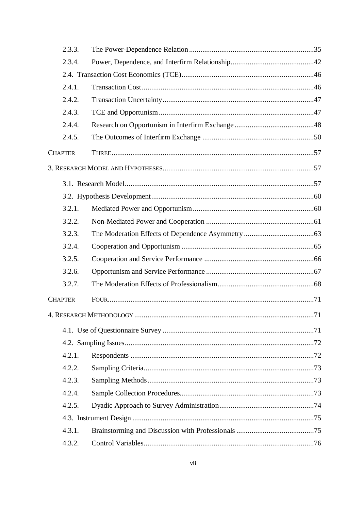| 2.3.3.         |  |
|----------------|--|
| 2.3.4.         |  |
|                |  |
| 2.4.1.         |  |
| 2.4.2.         |  |
| 2.4.3.         |  |
| 2.4.4.         |  |
| 2.4.5.         |  |
| <b>CHAPTER</b> |  |
|                |  |
|                |  |
|                |  |
| 3.2.1.         |  |
| 3.2.2.         |  |
| 3.2.3.         |  |
| 3.2.4.         |  |
| 3.2.5.         |  |
| 3.2.6.         |  |
| 3.2.7.         |  |
| <b>CHAPTER</b> |  |
|                |  |
|                |  |
|                |  |
| 4.2.1.         |  |
| 4.2.2.         |  |
| 4.2.3.         |  |
| 4.2.4.         |  |
| 4.2.5.         |  |
|                |  |
| 4.3.1.         |  |
| 4.3.2.         |  |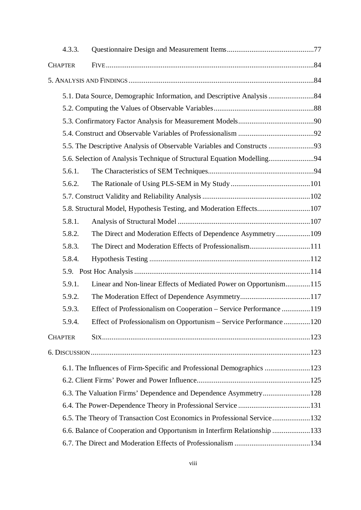|  | 4.3.3.                                                                    |                                                                         |  |
|--|---------------------------------------------------------------------------|-------------------------------------------------------------------------|--|
|  | <b>CHAPTER</b>                                                            |                                                                         |  |
|  |                                                                           |                                                                         |  |
|  |                                                                           |                                                                         |  |
|  |                                                                           |                                                                         |  |
|  |                                                                           |                                                                         |  |
|  |                                                                           |                                                                         |  |
|  |                                                                           | 5.5. The Descriptive Analysis of Observable Variables and Constructs 93 |  |
|  |                                                                           |                                                                         |  |
|  | 5.6.1.                                                                    |                                                                         |  |
|  | 5.6.2.                                                                    |                                                                         |  |
|  |                                                                           |                                                                         |  |
|  |                                                                           | 5.8. Structural Model, Hypothesis Testing, and Moderation Effects107    |  |
|  | 5.8.1.                                                                    |                                                                         |  |
|  | 5.8.2.                                                                    | The Direct and Moderation Effects of Dependence Asymmetry109            |  |
|  | 5.8.3.                                                                    | The Direct and Moderation Effects of Professionalism111                 |  |
|  | 5.8.4.                                                                    |                                                                         |  |
|  |                                                                           |                                                                         |  |
|  | 5.9.1.                                                                    | Linear and Non-linear Effects of Mediated Power on Opportunism115       |  |
|  | 5.9.2.                                                                    |                                                                         |  |
|  | 5.9.3.                                                                    | Effect of Professionalism on Cooperation – Service Performance 119      |  |
|  | 5.9.4.                                                                    | Effect of Professionalism on Opportunism – Service Performance120       |  |
|  | <b>CHAPTER</b>                                                            |                                                                         |  |
|  |                                                                           |                                                                         |  |
|  |                                                                           | 6.1. The Influences of Firm-Specific and Professional Demographics 123  |  |
|  |                                                                           |                                                                         |  |
|  | 6.3. The Valuation Firms' Dependence and Dependence Asymmetry128          |                                                                         |  |
|  |                                                                           |                                                                         |  |
|  | 6.5. The Theory of Transaction Cost Economics in Professional Service132  |                                                                         |  |
|  | 6.6. Balance of Cooperation and Opportunism in Interfirm Relationship 133 |                                                                         |  |
|  |                                                                           |                                                                         |  |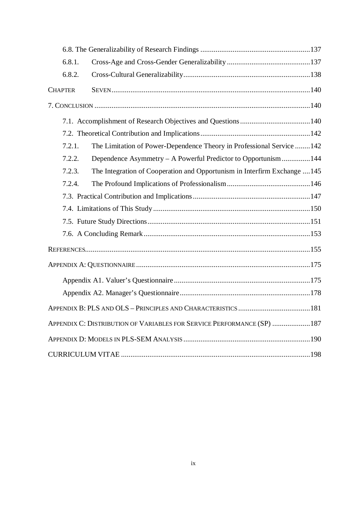| 6.8.1.         |                                                                           |  |
|----------------|---------------------------------------------------------------------------|--|
| 6.8.2.         |                                                                           |  |
| <b>CHAPTER</b> |                                                                           |  |
|                |                                                                           |  |
|                |                                                                           |  |
|                |                                                                           |  |
| 7.2.1.         | The Limitation of Power-Dependence Theory in Professional Service  142    |  |
| 7.2.2.         | Dependence Asymmetry – A Powerful Predictor to Opportunism144             |  |
| 7.2.3.         | The Integration of Cooperation and Opportunism in Interfirm Exchange  145 |  |
| 7.2.4.         |                                                                           |  |
|                |                                                                           |  |
|                |                                                                           |  |
|                |                                                                           |  |
|                |                                                                           |  |
|                |                                                                           |  |
|                |                                                                           |  |
|                |                                                                           |  |
|                |                                                                           |  |
|                |                                                                           |  |
|                | APPENDIX C: DISTRIBUTION OF VARIABLES FOR SERVICE PERFORMANCE (SP) 187    |  |
|                |                                                                           |  |
|                |                                                                           |  |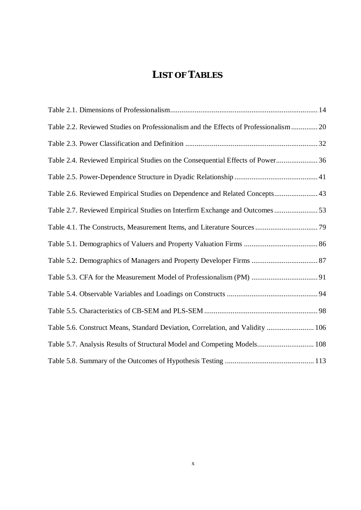## **LIST OFTABLES**

| Table 2.2. Reviewed Studies on Professionalism and the Effects of Professionalism 20 |  |
|--------------------------------------------------------------------------------------|--|
|                                                                                      |  |
| Table 2.4. Reviewed Empirical Studies on the Consequential Effects of Power 36       |  |
|                                                                                      |  |
| Table 2.6. Reviewed Empirical Studies on Dependence and Related Concepts 43          |  |
| Table 2.7. Reviewed Empirical Studies on Interfirm Exchange and Outcomes53           |  |
|                                                                                      |  |
|                                                                                      |  |
|                                                                                      |  |
|                                                                                      |  |
|                                                                                      |  |
|                                                                                      |  |
| Table 5.6. Construct Means, Standard Deviation, Correlation, and Validity  106       |  |
| Table 5.7. Analysis Results of Structural Model and Competing Models 108             |  |
|                                                                                      |  |